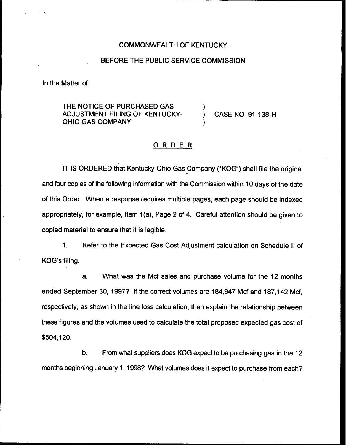## COMMONWEALTH OF KENTUCKY

## BEFORE THE PUBLIC SERVICE COMMISSION

In the Matter of:

# THE NOTICE OF PURCHASED GAS ADJUSTMENT FILING OF KENTUCKY-OHIO GAS COMPANY

) CASE NO. 91-138-H

# ORDER

)

)

IT IS ORDERED that Kentucky-Ohio Gas Company ("KOG") shall file the original and four copies of the following information with the Commission within 10 days of the date of this Order. When a response requires multiple pages, each page should be indexed appropriately, for example, Item 1(a), Page 2 of 4. Careful attention should be given to copied material to ensure that it is legible.

1. Refer to the Expected Gas Cost Adjustment calculation on Schedule II of KOG's filing.

a. What was the Mcf sales and purchase volume for the 12 months ended September 30, 1997? If the correct volumes are 184,947 Mcf and 187,142 Mcf, respectively, as shown in the line loss calculation, then explain the relationship between these figures and the volumes used to calculate the total proposed expected gas cost of \$504,120.

b. From what suppliers does KOG expect to be purchasing gas in the 12 months beginning January 1, 1998? What volumes does it expect to purchase from each?